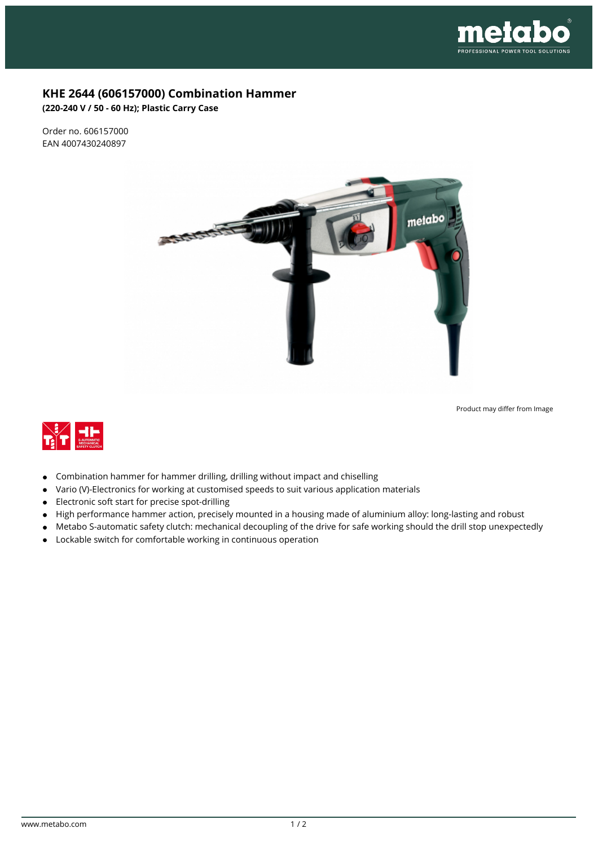

## **KHE 2644 (606157000) Combination Hammer**

**(220-240 V / 50 - 60 Hz); Plastic Carry Case**

Order no. 606157000 EAN 4007430240897



Product may differ from Image



- $\bullet$ Combination hammer for hammer drilling, drilling without impact and chiselling
- Vario (V)-Electronics for working at customised speeds to suit various application materials  $\bullet$
- Electronic soft start for precise spot-drilling  $\bullet$
- High performance hammer action, precisely mounted in a housing made of aluminium alloy: long-lasting and robust  $\bullet$
- Metabo S-automatic safety clutch: mechanical decoupling of the drive for safe working should the drill stop unexpectedly  $\bullet$
- Lockable switch for comfortable working in continuous operation